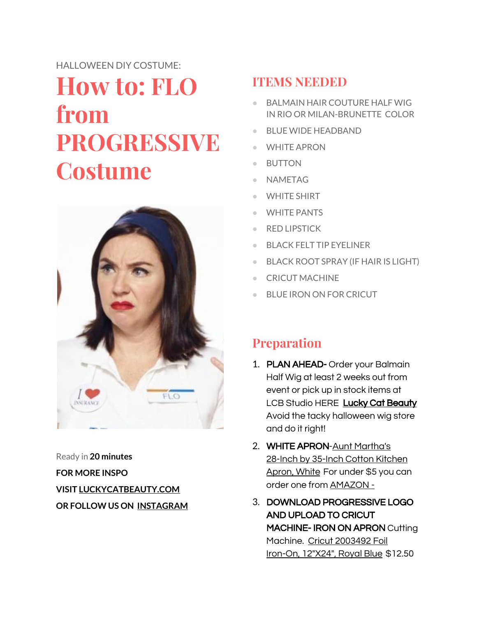## HALLOWEEN DIY COSTUME: **How to: FLO from PROGRESSIVE Costume**



Ready in **20 minutes FOR MORE INSPO VISIT [LUCKYCATBEAUTY.COM](http://www.luckycatbeauty.com/) OR FOLLOW US ON [INSTAGRAM](http://www.instagram.com/LUCKYCATBEAUTY)**

## **ITEMS NEEDED**

- BALMAIN HAIR COUTURE HALF WIG IN RIO OR MILAN-BRUNETTE COLOR
- BLUE WIDE HEADBAND
- WHITE APRON
- BUTTON
- NAMETAG
- WHITE SHIRT
- WHITE PANTS
- RED LIPSTICK
- BLACK FELT TIP EYELINER
- BLACK ROOT SPRAY (IF HAIR IS LIGHT)
- CRICUT MACHINE
- BLUE IRON ON FOR CRICUT

## **Preparation**

- 1. PLAN AHEAD- Order your Balmain Half Wig at least 2 weeks out from event or pick up in stock items at LCB Studio HERE Lucky Cat [Beauty](https://www.luckycatbeauty.com/) Avoid the tacky halloween wig store and do it right!
- 2. WHITE APRON-Aunt [Martha's](https://www.amazon.com/gp/product/B000W5JO7I/ref=as_li_tl?ie=UTF8&camp=1789&creative=9325&creativeASIN=B000W5JO7I&linkCode=as2&tag=luckycatbea04-20&linkId=f158529acf19149f9aaad45388a8a8d3) 28-Inch by 35-Inch Cotton [Kitchen](https://www.amazon.com/gp/product/B000W5JO7I/ref=as_li_tl?ie=UTF8&camp=1789&creative=9325&creativeASIN=B000W5JO7I&linkCode=as2&tag=luckycatbea04-20&linkId=f158529acf19149f9aaad45388a8a8d3) [Apron,](https://www.amazon.com/gp/product/B000W5JO7I/ref=as_li_tl?ie=UTF8&camp=1789&creative=9325&creativeASIN=B000W5JO7I&linkCode=as2&tag=luckycatbea04-20&linkId=f158529acf19149f9aaad45388a8a8d3) Whit[e](https://www.amazon.com/gp/product/B000W5JO7I/ref=as_li_tl?ie=UTF8&camp=1789&creative=9325&creativeASIN=B000W5JO7I&linkCode=as2&tag=luckycatbea04-20&linkId=f158529acf19149f9aaad45388a8a8d3) For under \$5 you can order one from [AMAZON](https://amzn.to/2LSS4Qn) -
- 3. DOWNLOAD PROGRESSIVE LOGO AND UPLOAD TO CRICUT MACHINE- IRON ON APRON Cutting Machine. Cricut [2003492](https://www.amazon.com/gp/offer-listing/B01LX0VJE3/ref=as_li_tl?ie=UTF8&camp=1789&creative=9325&creativeASIN=B01LX0VJE3&linkCode=am2&tag=luckycatbea04-20&linkId=2db35984a7c89219e715761a98ec45c0) Foil Iron-On, [12"X24",](https://www.amazon.com/gp/offer-listing/B01LX0VJE3/ref=as_li_tl?ie=UTF8&camp=1789&creative=9325&creativeASIN=B01LX0VJE3&linkCode=am2&tag=luckycatbea04-20&linkId=2db35984a7c89219e715761a98ec45c0) Royal Blu[e](https://www.amazon.com/gp/offer-listing/B01LX0VJE3/ref=as_li_tl?ie=UTF8&camp=1789&creative=9325&creativeASIN=B01LX0VJE3&linkCode=am2&tag=luckycatbea04-20&linkId=2db35984a7c89219e715761a98ec45c0) \$12.50